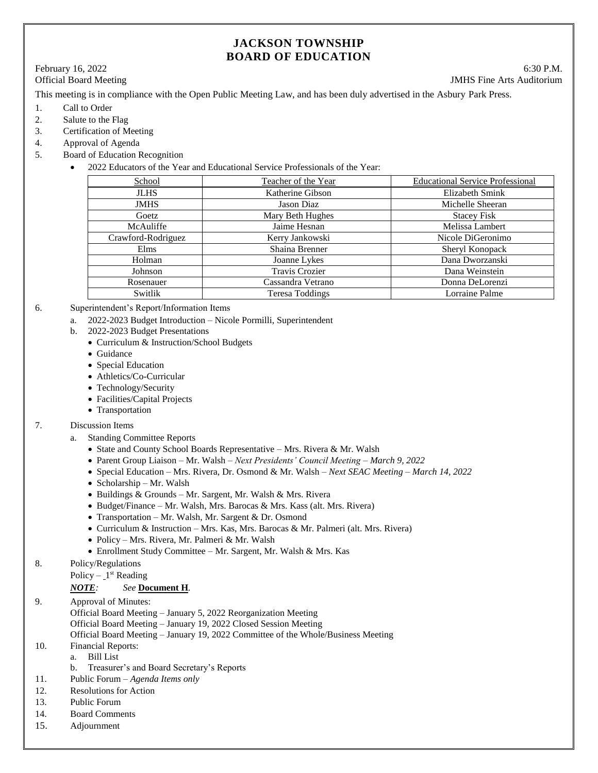# **JACKSON TOWNSHIP BOARD OF EDUCATION**

# February 16, 2022 6:30 P.M.

Official Board Meeting **IMHS** Fine Arts Auditorium

This meeting is in compliance with the Open Public Meeting Law, and has been duly advertised in the Asbury Park Press.

- 1. Call to Order
- 2. Salute to the Flag
- 3. Certification of Meeting
- 4. Approval of Agenda
- 5. Board of Education Recognition
	- 2022 Educators of the Year and Educational Service Professionals of the Year:

| School             | Teacher of the Year   | <b>Educational Service Professional</b> |
|--------------------|-----------------------|-----------------------------------------|
| <b>JLHS</b>        | Katherine Gibson      | Elizabeth Smink                         |
| <b>JMHS</b>        | Jason Diaz            | Michelle Sheeran                        |
| Goetz              | Mary Beth Hughes      | <b>Stacey Fisk</b>                      |
| McAuliffe          | Jaime Hesnan          | Melissa Lambert                         |
| Crawford-Rodriguez | Kerry Jankowski       | Nicole DiGeronimo                       |
| Elms               | Shaina Brenner        | Sheryl Konopack                         |
| Holman             | Joanne Lykes          | Dana Dworzanski                         |
| Johnson            | <b>Travis Crozier</b> | Dana Weinstein                          |
| Rosenauer          | Cassandra Vetrano     | Donna DeLorenzi                         |
| Switlik            | Teresa Toddings       | Lorraine Palme                          |

# 6. Superintendent's Report/Information Items

- a. 2022-2023 Budget Introduction Nicole Pormilli, Superintendent
- b. 2022-2023 Budget Presentations
	- Curriculum & Instruction/School Budgets
	- Guidance
	- Special Education
	- Athletics/Co-Curricular
	- Technology/Security
	- Facilities/Capital Projects
	- Transportation

# 7. Discussion Items

- a. Standing Committee Reports
	- State and County School Boards Representative Mrs. Rivera & Mr. Walsh
	- Parent Group Liaison Mr. Walsh *Next Presidents' Council Meeting – March 9, 2022*
	- Special Education Mrs. Rivera, Dr. Osmond & Mr. Walsh *Next SEAC Meeting – March 14, 2022*
	- Scholarship Mr. Walsh
	- Buildings & Grounds Mr. Sargent, Mr. Walsh & Mrs. Rivera
	- Budget/Finance Mr. Walsh, Mrs. Barocas & Mrs. Kass (alt. Mrs. Rivera)
	- Transportation Mr. Walsh, Mr. Sargent & Dr. Osmond
	- Curriculum & Instruction Mrs. Kas, Mrs. Barocas & Mr. Palmeri (alt. Mrs. Rivera)
	- Policy Mrs. Rivera, Mr. Palmeri & Mr. Walsh
	- Enrollment Study Committee Mr. Sargent, Mr. Walsh & Mrs. Kas
- 8. Policy/Regulations
	- Policy  $1<sup>st</sup>$  Reading

# *NOTE: See* **Document H***.*

- 9. Approval of Minutes:
	- Official Board Meeting January 5, 2022 Reorganization Meeting
	- Official Board Meeting January 19, 2022 Closed Session Meeting
	- Official Board Meeting January 19, 2022 Committee of the Whole/Business Meeting
- 10. Financial Reports:
	- a. Bill List
		- b. Treasurer's and Board Secretary's Reports
- 11. Public Forum *Agenda Items only*
- 12. Resolutions for Action
- 13. Public Forum
- 14. Board Comments
- 15. Adjournment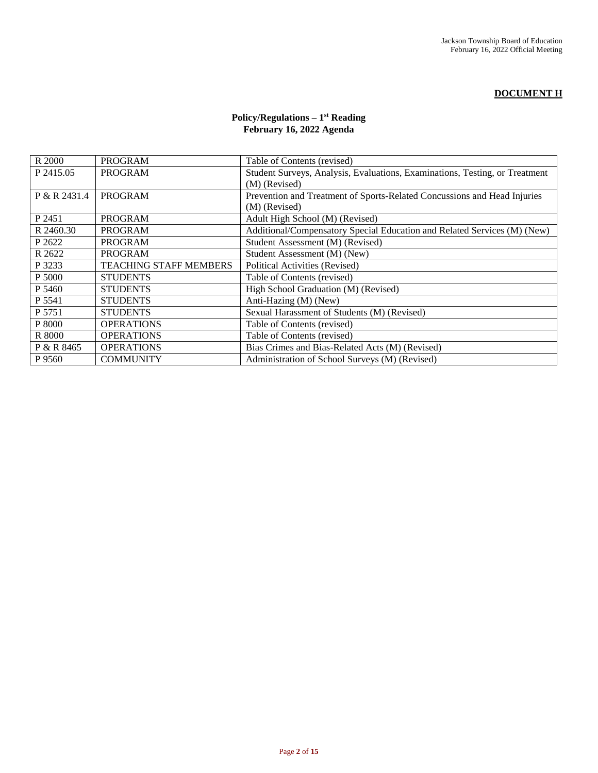# **DOCUMENT H**

# **Policy/Regulations – 1 st Reading February 16, 2022 Agenda**

| R 2000       | <b>PROGRAM</b>                | Table of Contents (revised)                                                 |  |
|--------------|-------------------------------|-----------------------------------------------------------------------------|--|
| P 2415.05    | <b>PROGRAM</b>                | Student Surveys, Analysis, Evaluations, Examinations, Testing, or Treatment |  |
|              |                               | (M) (Revised)                                                               |  |
| P & R 2431.4 | <b>PROGRAM</b>                | Prevention and Treatment of Sports-Related Concussions and Head Injuries    |  |
|              |                               | (M) (Revised)                                                               |  |
| P 2451       | <b>PROGRAM</b>                | Adult High School (M) (Revised)                                             |  |
| R 2460.30    | <b>PROGRAM</b>                | Additional/Compensatory Special Education and Related Services (M) (New)    |  |
| P 2622       | PROGRAM                       | Student Assessment (M) (Revised)                                            |  |
| R 2622       | <b>PROGRAM</b>                | Student Assessment (M) (New)                                                |  |
| P 3233       | <b>TEACHING STAFF MEMBERS</b> | Political Activities (Revised)                                              |  |
| P 5000       | <b>STUDENTS</b>               | Table of Contents (revised)                                                 |  |
| P 5460       | <b>STUDENTS</b>               | High School Graduation (M) (Revised)                                        |  |
| P 5541       | <b>STUDENTS</b>               | Anti-Hazing (M) (New)                                                       |  |
| P 5751       | <b>STUDENTS</b>               | Sexual Harassment of Students (M) (Revised)                                 |  |
| P 8000       | <b>OPERATIONS</b>             | Table of Contents (revised)                                                 |  |
| R 8000       | <b>OPERATIONS</b>             | Table of Contents (revised)                                                 |  |
| P & R 8465   | <b>OPERATIONS</b>             | Bias Crimes and Bias-Related Acts (M) (Revised)                             |  |
| P 9560       | <b>COMMUNITY</b>              | Administration of School Surveys (M) (Revised)                              |  |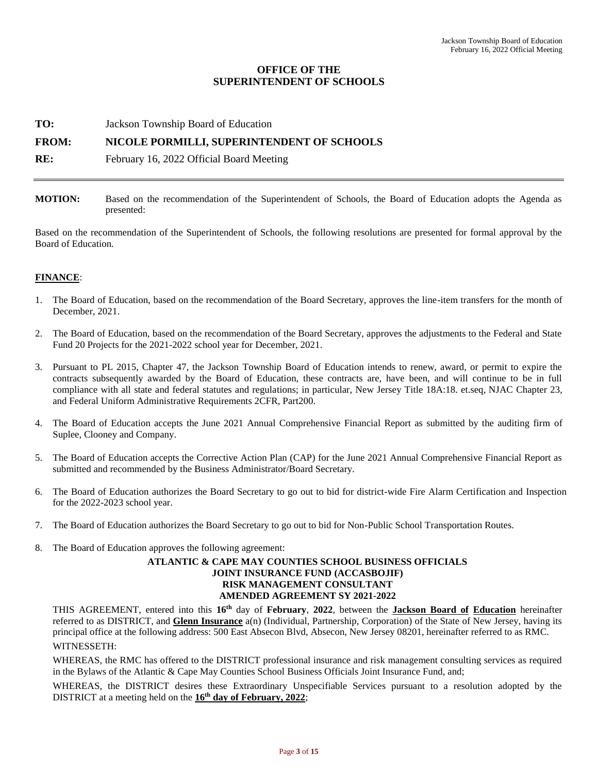# **OFFICE OF THE SUPERINTENDENT OF SCHOOLS**

**TO:** Jackson Township Board of Education

# **FROM: NICOLE PORMILLI, SUPERINTENDENT OF SCHOOLS**

**RE:** February 16, 2022 Official Board Meeting

**MOTION:** Based on the recommendation of the Superintendent of Schools, the Board of Education adopts the Agenda as presented:

Based on the recommendation of the Superintendent of Schools, the following resolutions are presented for formal approval by the Board of Education.

# **FINANCE**:

- 1. The Board of Education, based on the recommendation of the Board Secretary, approves the line-item transfers for the month of December, 2021.
- 2. The Board of Education, based on the recommendation of the Board Secretary, approves the adjustments to the Federal and State Fund 20 Projects for the 2021-2022 school year for December, 2021.
- 3. Pursuant to PL 2015, Chapter 47, the Jackson Township Board of Education intends to renew, award, or permit to expire the contracts subsequently awarded by the Board of Education, these contracts are, have been, and will continue to be in full compliance with all state and federal statutes and regulations; in particular, New Jersey Title 18A:18. et.seq, NJAC Chapter 23, and Federal Uniform Administrative Requirements 2CFR, Part200.
- 4. The Board of Education accepts the June 2021 Annual Comprehensive Financial Report as submitted by the auditing firm of Suplee, Clooney and Company.
- 5. The Board of Education accepts the Corrective Action Plan (CAP) for the June 2021 Annual Comprehensive Financial Report as submitted and recommended by the Business Administrator/Board Secretary.
- 6. The Board of Education authorizes the Board Secretary to go out to bid for district-wide Fire Alarm Certification and Inspection for the 2022-2023 school year.
- 7. The Board of Education authorizes the Board Secretary to go out to bid for Non-Public School Transportation Routes.
- 8. The Board of Education approves the following agreement:

# **ATLANTIC & CAPE MAY COUNTIES SCHOOL BUSINESS OFFICIALS JOINT INSURANCE FUND (ACCASBOJIF) RISK MANAGEMENT CONSULTANT AMENDED AGREEMENT SY 2021-2022**

THIS AGREEMENT, entered into this **16th** day of **February**, **2022**, between the **Jackson Board of Education** hereinafter referred to as DISTRICT, and **Glenn Insurance** a(n) (Individual, Partnership, Corporation) of the State of New Jersey, having its principal office at the following address: 500 East Absecon Blvd, Absecon, New Jersey 08201, hereinafter referred to as RMC. WITNESSETH:

WHEREAS, the RMC has offered to the DISTRICT professional insurance and risk management consulting services as required in the Bylaws of the Atlantic & Cape May Counties School Business Officials Joint Insurance Fund, and;

WHEREAS, the DISTRICT desires these Extraordinary Unspecifiable Services pursuant to a resolution adopted by the DISTRICT at a meeting held on the **16th day of February, 2022**;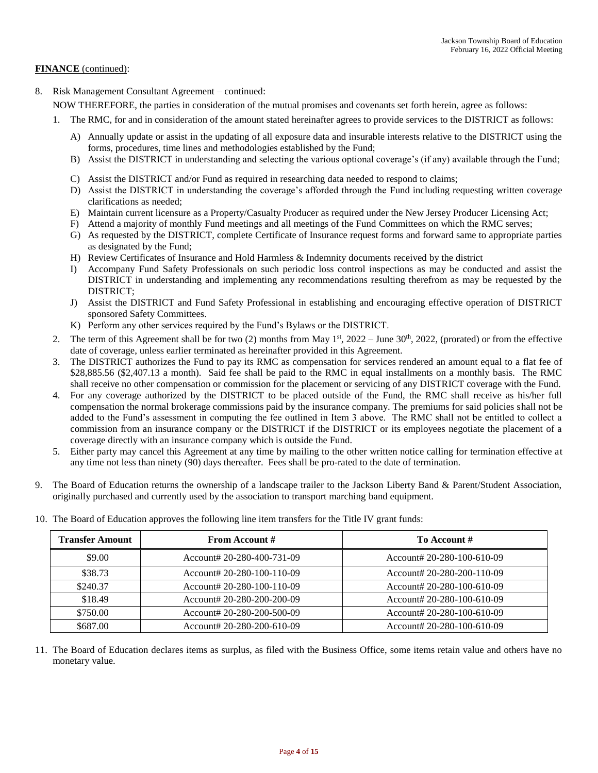# **FINANCE** (continued):

8. Risk Management Consultant Agreement – continued:

NOW THEREFORE, the parties in consideration of the mutual promises and covenants set forth herein, agree as follows:

- 1. The RMC, for and in consideration of the amount stated hereinafter agrees to provide services to the DISTRICT as follows:
	- A) Annually update or assist in the updating of all exposure data and insurable interests relative to the DISTRICT using the forms, procedures, time lines and methodologies established by the Fund;
	- B) Assist the DISTRICT in understanding and selecting the various optional coverage's (if any) available through the Fund;
	- C) Assist the DISTRICT and/or Fund as required in researching data needed to respond to claims;
	- D) Assist the DISTRICT in understanding the coverage's afforded through the Fund including requesting written coverage clarifications as needed;
	- E) Maintain current licensure as a Property/Casualty Producer as required under the New Jersey Producer Licensing Act;
	- F) Attend a majority of monthly Fund meetings and all meetings of the Fund Committees on which the RMC serves;
	- G) As requested by the DISTRICT, complete Certificate of Insurance request forms and forward same to appropriate parties as designated by the Fund;
	- H) Review Certificates of Insurance and Hold Harmless & Indemnity documents received by the district
	- I) Accompany Fund Safety Professionals on such periodic loss control inspections as may be conducted and assist the DISTRICT in understanding and implementing any recommendations resulting therefrom as may be requested by the DISTRICT;
	- J) Assist the DISTRICT and Fund Safety Professional in establishing and encouraging effective operation of DISTRICT sponsored Safety Committees.
	- K) Perform any other services required by the Fund's Bylaws or the DISTRICT.
- 2. The term of this Agreement shall be for two (2) months from May  $1<sup>st</sup>$ , 2022 June 30<sup>th</sup>, 2022, (prorated) or from the effective date of coverage, unless earlier terminated as hereinafter provided in this Agreement.
- 3. The DISTRICT authorizes the Fund to pay its RMC as compensation for services rendered an amount equal to a flat fee of \$28,885.56 (\$2,407.13 a month). Said fee shall be paid to the RMC in equal installments on a monthly basis. The RMC shall receive no other compensation or commission for the placement or servicing of any DISTRICT coverage with the Fund.
- 4. For any coverage authorized by the DISTRICT to be placed outside of the Fund, the RMC shall receive as his/her full compensation the normal brokerage commissions paid by the insurance company. The premiums for said policies shall not be added to the Fund's assessment in computing the fee outlined in Item 3 above. The RMC shall not be entitled to collect a commission from an insurance company or the DISTRICT if the DISTRICT or its employees negotiate the placement of a coverage directly with an insurance company which is outside the Fund.
- 5. Either party may cancel this Agreement at any time by mailing to the other written notice calling for termination effective at any time not less than ninety (90) days thereafter. Fees shall be pro-rated to the date of termination.
- 9. The Board of Education returns the ownership of a landscape trailer to the Jackson Liberty Band & Parent/Student Association, originally purchased and currently used by the association to transport marching band equipment.

| <b>Transfer Amount</b> | <b>From Account #</b>      | To Account #               |
|------------------------|----------------------------|----------------------------|
| \$9.00                 | Account# 20-280-400-731-09 | Account# 20-280-100-610-09 |
| \$38.73                | Account# 20-280-100-110-09 | Account# 20-280-200-110-09 |
| \$240.37               | Account# 20-280-100-110-09 | Account# 20-280-100-610-09 |
| \$18.49                | Account# 20-280-200-200-09 | Account# 20-280-100-610-09 |
| \$750.00               | Account# 20-280-200-500-09 | Account# 20-280-100-610-09 |
| \$687.00               | Account# 20-280-200-610-09 | Account# 20-280-100-610-09 |

10. The Board of Education approves the following line item transfers for the Title IV grant funds:

11. The Board of Education declares items as surplus, as filed with the Business Office, some items retain value and others have no monetary value.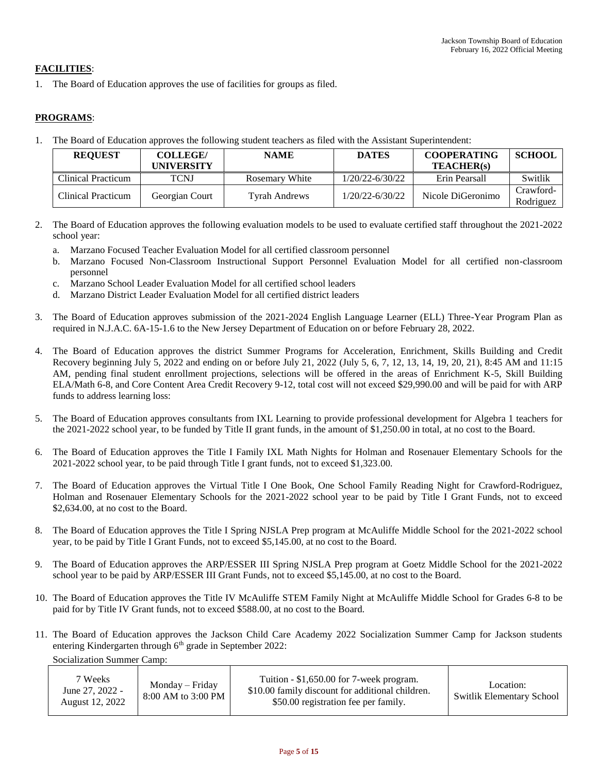# **FACILITIES**:

1. The Board of Education approves the use of facilities for groups as filed.

# **PROGRAMS**:

1. The Board of Education approves the following student teachers as filed with the Assistant Superintendent:

| <b>REQUEST</b>     | <b>COLLEGE/</b> | <b>NAME</b>           | <b>DATES</b>        | <b>COOPERATING</b> | <b>SCHOOL</b> |
|--------------------|-----------------|-----------------------|---------------------|--------------------|---------------|
|                    | UNIVERSITY      |                       |                     | <b>TEACHER(s)</b>  |               |
| Clinical Practicum | TCNJ            | <b>Rosemary White</b> | 1/20/22-6/30/22     | Erin Pearsall      | Switlik       |
| Clinical Practicum |                 | <b>Tyrah Andrews</b>  | $1/20/22 - 6/30/22$ | Nicole DiGeronimo  | Crawford-     |
|                    | Georgian Court  |                       |                     |                    | Rodriguez     |

- 2. The Board of Education approves the following evaluation models to be used to evaluate certified staff throughout the 2021-2022 school year:
	- a. Marzano Focused Teacher Evaluation Model for all certified classroom personnel
	- b. Marzano Focused Non-Classroom Instructional Support Personnel Evaluation Model for all certified non-classroom personnel
	- c. Marzano School Leader Evaluation Model for all certified school leaders
	- d. Marzano District Leader Evaluation Model for all certified district leaders
- 3. The Board of Education approves submission of the 2021-2024 English Language Learner (ELL) Three-Year Program Plan as required in N.J.A.C. 6A-15-1.6 to the New Jersey Department of Education on or before February 28, 2022.
- 4. The Board of Education approves the district Summer Programs for Acceleration, Enrichment, Skills Building and Credit Recovery beginning July 5, 2022 and ending on or before July 21, 2022 (July 5, 6, 7, 12, 13, 14, 19, 20, 21), 8:45 AM and 11:15 AM, pending final student enrollment projections, selections will be offered in the areas of Enrichment K-5, Skill Building ELA/Math 6-8, and Core Content Area Credit Recovery 9-12, total cost will not exceed \$29,990.00 and will be paid for with ARP funds to address learning loss:
- 5. The Board of Education approves consultants from IXL Learning to provide professional development for Algebra 1 teachers for the 2021-2022 school year, to be funded by Title II grant funds, in the amount of \$1,250.00 in total, at no cost to the Board.
- 6. The Board of Education approves the Title I Family IXL Math Nights for Holman and Rosenauer Elementary Schools for the 2021-2022 school year, to be paid through Title I grant funds, not to exceed \$1,323.00.
- 7. The Board of Education approves the Virtual Title I One Book, One School Family Reading Night for Crawford-Rodriguez, Holman and Rosenauer Elementary Schools for the 2021-2022 school year to be paid by Title I Grant Funds, not to exceed \$2,634,00, at no cost to the Board.
- 8. The Board of Education approves the Title I Spring NJSLA Prep program at McAuliffe Middle School for the 2021-2022 school year, to be paid by Title I Grant Funds, not to exceed \$5,145.00, at no cost to the Board.
- 9. The Board of Education approves the ARP/ESSER III Spring NJSLA Prep program at Goetz Middle School for the 2021-2022 school year to be paid by ARP/ESSER III Grant Funds, not to exceed \$5,145.00, at no cost to the Board.
- 10. The Board of Education approves the Title IV McAuliffe STEM Family Night at McAuliffe Middle School for Grades 6-8 to be paid for by Title IV Grant funds, not to exceed \$588.00, at no cost to the Board.
- 11. The Board of Education approves the Jackson Child Care Academy 2022 Socialization Summer Camp for Jackson students entering Kindergarten through 6<sup>th</sup> grade in September 2022:

Socialization Summer Camp:

| 7 Weeks<br>June 27, 2022 -<br>August 12, 2022 | $Monday-Friday$<br>8:00 AM to 3:00 PM | Tuition - \$1,650.00 for 7-week program.<br>\$10.00 family discount for additional children.<br>\$50.00 registration fee per family. | Location:<br>Switlik Elementary School |
|-----------------------------------------------|---------------------------------------|--------------------------------------------------------------------------------------------------------------------------------------|----------------------------------------|
|-----------------------------------------------|---------------------------------------|--------------------------------------------------------------------------------------------------------------------------------------|----------------------------------------|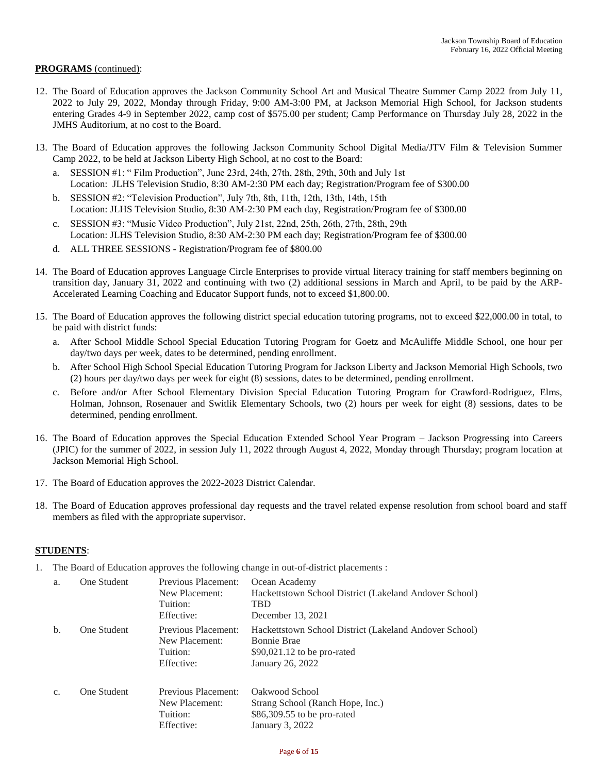# **PROGRAMS** (continued):

- 12. The Board of Education approves the Jackson Community School Art and Musical Theatre Summer Camp 2022 from July 11, 2022 to July 29, 2022, Monday through Friday, 9:00 AM-3:00 PM, at Jackson Memorial High School, for Jackson students entering Grades 4-9 in September 2022, camp cost of \$575.00 per student; Camp Performance on Thursday July 28, 2022 in the JMHS Auditorium, at no cost to the Board.
- 13. The Board of Education approves the following Jackson Community School Digital Media/JTV Film & Television Summer Camp 2022, to be held at Jackson Liberty High School, at no cost to the Board:
	- a. SESSION #1: " Film Production", June 23rd, 24th, 27th, 28th, 29th, 30th and July 1st Location: JLHS Television Studio, 8:30 AM-2:30 PM each day; Registration/Program fee of \$300.00
	- b. SESSION #2: "Television Production", July 7th, 8th, 11th, 12th, 13th, 14th, 15th Location: JLHS Television Studio, 8:30 AM-2:30 PM each day, Registration/Program fee of \$300.00
	- c. SESSION #3: "Music Video Production", July 21st, 22nd, 25th, 26th, 27th, 28th, 29th Location: JLHS Television Studio, 8:30 AM-2:30 PM each day; Registration/Program fee of \$300.00
	- d. ALL THREE SESSIONS Registration/Program fee of \$800.00
- 14. The Board of Education approves Language Circle Enterprises to provide virtual literacy training for staff members beginning on transition day, January 31, 2022 and continuing with two (2) additional sessions in March and April, to be paid by the ARP-Accelerated Learning Coaching and Educator Support funds, not to exceed \$1,800.00.
- 15. The Board of Education approves the following district special education tutoring programs, not to exceed \$22,000.00 in total, to be paid with district funds:
	- a. After School Middle School Special Education Tutoring Program for Goetz and McAuliffe Middle School, one hour per day/two days per week, dates to be determined, pending enrollment.
	- b. After School High School Special Education Tutoring Program for Jackson Liberty and Jackson Memorial High Schools, two (2) hours per day/two days per week for eight (8) sessions, dates to be determined, pending enrollment.
	- c. Before and/or After School Elementary Division Special Education Tutoring Program for Crawford-Rodriguez, Elms, Holman, Johnson, Rosenauer and Switlik Elementary Schools, two (2) hours per week for eight (8) sessions, dates to be determined, pending enrollment.
- 16. The Board of Education approves the Special Education Extended School Year Program Jackson Progressing into Careers (JPIC) for the summer of 2022, in session July 11, 2022 through August 4, 2022, Monday through Thursday; program location at Jackson Memorial High School.
- 17. The Board of Education approves the 2022-2023 District Calendar.
- 18. The Board of Education approves professional day requests and the travel related expense resolution from school board and staff members as filed with the appropriate supervisor.

# **STUDENTS**:

1. The Board of Education approves the following change in out-of-district placements :

| a.    | One Student | Previous Placement:<br>New Placement:<br>Tuition:<br>Effective: | Ocean Academy<br>Hackettstown School District (Lakeland Andover School)<br>TBD<br>December 13, 2021                              |
|-------|-------------|-----------------------------------------------------------------|----------------------------------------------------------------------------------------------------------------------------------|
| b.    | One Student | Previous Placement:<br>New Placement:<br>Tuition:<br>Effective: | Hackettstown School District (Lakeland Andover School)<br><b>Bonnie Brae</b><br>$$90,021.12$ to be pro-rated<br>January 26, 2022 |
| $C$ . | One Student | Previous Placement:<br>New Placement:<br>Tuition:<br>Effective: | Oakwood School<br>Strang School (Ranch Hope, Inc.)<br>\$86,309.55 to be pro-rated<br>January 3, 2022                             |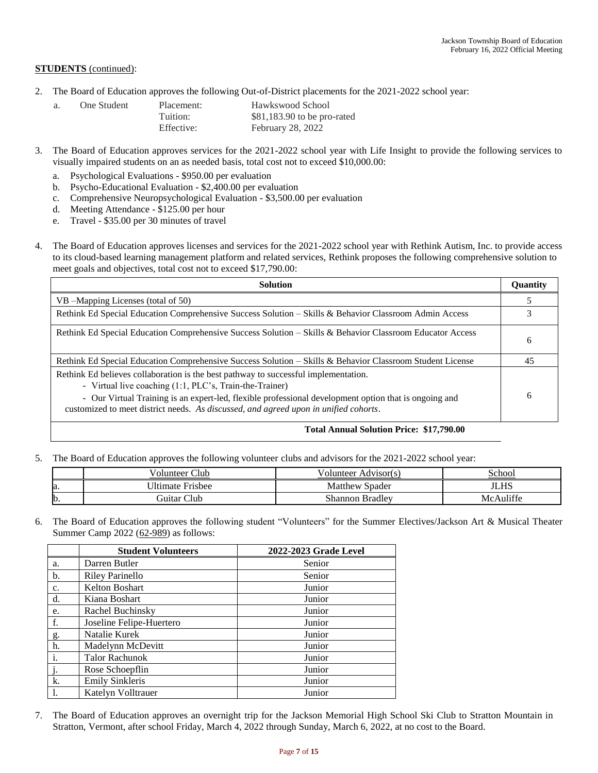#### **STUDENTS** (continued):

2. The Board of Education approves the following Out-of-District placements for the 2021-2022 school year:

| a. | One Student | Placement: | Hawkswood School             |
|----|-------------|------------|------------------------------|
|    |             | Tuition:   | $$81,183.90$ to be pro-rated |
|    |             | Effective: | February 28, 2022            |

- 3. The Board of Education approves services for the 2021-2022 school year with Life Insight to provide the following services to visually impaired students on an as needed basis, total cost not to exceed \$10,000.00:
	- a. Psychological Evaluations \$950.00 per evaluation
	- b. Psycho-Educational Evaluation \$2,400.00 per evaluation
	- c. Comprehensive Neuropsychological Evaluation \$3,500.00 per evaluation
	- d. Meeting Attendance \$125.00 per hour
	- e. Travel \$35.00 per 30 minutes of travel
- 4. The Board of Education approves licenses and services for the 2021-2022 school year with Rethink Autism, Inc. to provide access to its cloud-based learning management platform and related services, Rethink proposes the following comprehensive solution to meet goals and objectives, total cost not to exceed \$17,790.00:

| <b>Solution</b>                                                                                                                                                                                                                                                                                                                                 | <b>Quantity</b> |
|-------------------------------------------------------------------------------------------------------------------------------------------------------------------------------------------------------------------------------------------------------------------------------------------------------------------------------------------------|-----------------|
| VB – Mapping Licenses (total of 50)                                                                                                                                                                                                                                                                                                             |                 |
| Rethink Ed Special Education Comprehensive Success Solution – Skills & Behavior Classroom Admin Access                                                                                                                                                                                                                                          |                 |
| Rethink Ed Special Education Comprehensive Success Solution – Skills & Behavior Classroom Educator Access                                                                                                                                                                                                                                       | 6               |
| Rethink Ed Special Education Comprehensive Success Solution – Skills & Behavior Classroom Student License                                                                                                                                                                                                                                       | 45              |
| Rethink Ed believes collaboration is the best pathway to successful implementation.<br>- Virtual live coaching (1:1, PLC's, Train-the-Trainer)<br>- Our Virtual Training is an expert-led, flexible professional development option that is ongoing and<br>customized to meet district needs. As discussed, and agreed upon in unified cohorts. | 6               |

#### **Total Annual Solution Price: \$17,790.00**

5. The Board of Education approves the following volunteer clubs and advisors for the 2021-2022 school year:

|              | Club<br>√olunteer       | olunteer/<br>Advisor(s) | School    |
|--------------|-------------------------|-------------------------|-----------|
| la.          | <b>Ultimate Frisbee</b> | Matthew Spader          | JLHS      |
| $\mathbf{b}$ | Guitar Club             | Shannon Bradley         | McAuliffe |

6. The Board of Education approves the following student "Volunteers" for the Summer Electives/Jackson Art & Musical Theater Summer Camp 2022 (62-989) as follows:

|                | <b>Student Volunteers</b> | 2022-2023 Grade Level |
|----------------|---------------------------|-----------------------|
| a.             | Darren Butler             | Senior                |
| b.             | <b>Riley Parinello</b>    | Senior                |
| c.             | <b>Kelton Boshart</b>     | Junior                |
| d.             | Kiana Boshart             | Junior                |
| e.             | Rachel Buchinsky          | Junior                |
| f.             | Joseline Felipe-Huertero  | Junior                |
| g.             | Natalie Kurek             | Junior                |
| h.             | Madelynn McDevitt         | Junior                |
| i.             | <b>Talor Rachunok</b>     | Junior                |
| $\mathbf{i}$ . | Rose Schoepflin           | Junior                |
| k.             | <b>Emily Sinkleris</b>    | Junior                |
| 1.             | Katelyn Volltrauer        | Junior                |

7. The Board of Education approves an overnight trip for the Jackson Memorial High School Ski Club to Stratton Mountain in Stratton, Vermont, after school Friday, March 4, 2022 through Sunday, March 6, 2022, at no cost to the Board.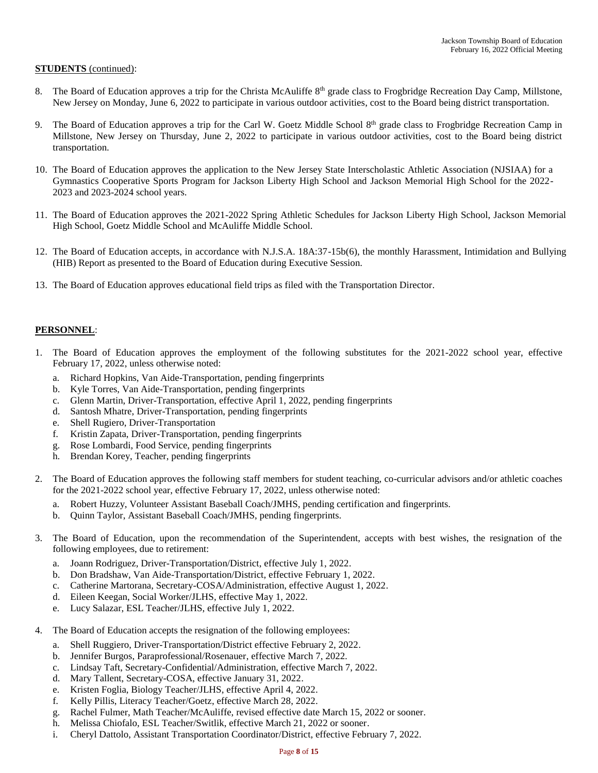#### **STUDENTS** (continued):

- The Board of Education approves a trip for the Christa McAuliffe 8<sup>th</sup> grade class to Frogbridge Recreation Day Camp, Millstone, New Jersey on Monday, June 6, 2022 to participate in various outdoor activities, cost to the Board being district transportation.
- 9. The Board of Education approves a trip for the Carl W. Goetz Middle School 8<sup>th</sup> grade class to Frogbridge Recreation Camp in Millstone, New Jersey on Thursday, June 2, 2022 to participate in various outdoor activities, cost to the Board being district transportation.
- 10. The Board of Education approves the application to the New Jersey State Interscholastic Athletic Association (NJSIAA) for a Gymnastics Cooperative Sports Program for Jackson Liberty High School and Jackson Memorial High School for the 2022- 2023 and 2023-2024 school years.
- 11. The Board of Education approves the 2021-2022 Spring Athletic Schedules for Jackson Liberty High School, Jackson Memorial High School, Goetz Middle School and McAuliffe Middle School.
- 12. The Board of Education accepts, in accordance with N.J.S.A. 18A:37-15b(6), the monthly Harassment, Intimidation and Bullying (HIB) Report as presented to the Board of Education during Executive Session.
- 13. The Board of Education approves educational field trips as filed with the Transportation Director.

### **PERSONNEL**:

- 1. The Board of Education approves the employment of the following substitutes for the 2021-2022 school year, effective February 17, 2022, unless otherwise noted:
	- a. Richard Hopkins, Van Aide-Transportation, pending fingerprints
	- b. Kyle Torres, Van Aide-Transportation, pending fingerprints
	- c. Glenn Martin, Driver-Transportation, effective April 1, 2022, pending fingerprints
	- d. Santosh Mhatre, Driver-Transportation, pending fingerprints
	- e. Shell Rugiero, Driver-Transportation
	- f. Kristin Zapata, Driver-Transportation, pending fingerprints
	- g. Rose Lombardi, Food Service, pending fingerprints
	- h. Brendan Korey, Teacher, pending fingerprints
- 2. The Board of Education approves the following staff members for student teaching, co-curricular advisors and/or athletic coaches for the 2021-2022 school year, effective February 17, 2022, unless otherwise noted:
	- a. Robert Huzzy, Volunteer Assistant Baseball Coach/JMHS, pending certification and fingerprints.
	- b. Quinn Taylor, Assistant Baseball Coach/JMHS, pending fingerprints.
- 3. The Board of Education, upon the recommendation of the Superintendent, accepts with best wishes, the resignation of the following employees, due to retirement:
	- a. Joann Rodriguez, Driver-Transportation/District, effective July 1, 2022.
	- b. Don Bradshaw, Van Aide-Transportation/District, effective February 1, 2022.
	- c. Catherine Martorana, Secretary-COSA/Administration, effective August 1, 2022.
	- d. Eileen Keegan, Social Worker/JLHS, effective May 1, 2022.
	- e. Lucy Salazar, ESL Teacher/JLHS, effective July 1, 2022.
- 4. The Board of Education accepts the resignation of the following employees:
	- a. Shell Ruggiero, Driver-Transportation/District effective February 2, 2022.
	- b. Jennifer Burgos, Paraprofessional/Rosenauer, effective March 7, 2022.
	- c. Lindsay Taft, Secretary-Confidential/Administration, effective March 7, 2022.
	- d. Mary Tallent, Secretary-COSA, effective January 31, 2022.
	- e. Kristen Foglia, Biology Teacher/JLHS, effective April 4, 2022.
	- f. Kelly Pillis, Literacy Teacher/Goetz, effective March 28, 2022.
	- g. Rachel Fulmer, Math Teacher/McAuliffe, revised effective date March 15, 2022 or sooner.
	- h. Melissa Chiofalo, ESL Teacher/Switlik, effective March 21, 2022 or sooner.
	- i. Cheryl Dattolo, Assistant Transportation Coordinator/District, effective February 7, 2022.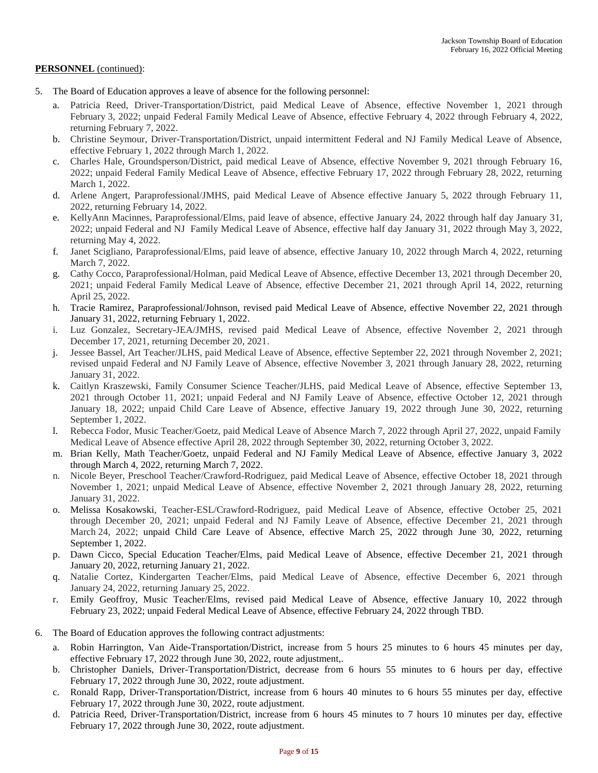- 5. The Board of Education approves a leave of absence for the following personnel:
	- a. Patricia Reed, Driver-Transportation/District, paid Medical Leave of Absence, effective November 1, 2021 through February 3, 2022; unpaid Federal Family Medical Leave of Absence, effective February 4, 2022 through February 4, 2022, returning February 7, 2022.
	- b. Christine Seymour, Driver-Transportation/District, unpaid intermittent Federal and NJ Family Medical Leave of Absence, effective February 1, 2022 through March 1, 2022.
	- c. Charles Hale, Groundsperson/District, paid medical Leave of Absence, effective November 9, 2021 through February 16, 2022; unpaid Federal Family Medical Leave of Absence, effective February 17, 2022 through February 28, 2022, returning March 1, 2022.
	- d. Arlene Angert, Paraprofessional/JMHS, paid Medical Leave of Absence effective January 5, 2022 through February 11, 2022, returning February 14, 2022.
	- e. KellyAnn Macinnes, Paraprofessional/Elms, paid leave of absence, effective January 24, 2022 through half day January 31, 2022; unpaid Federal and NJ Family Medical Leave of Absence, effective half day January 31, 2022 through May 3, 2022, returning May 4, 2022.
	- f. Janet Scigliano, Paraprofessional/Elms, paid leave of absence, effective January 10, 2022 through March 4, 2022, returning March 7, 2022.
	- g. Cathy Cocco, Paraprofessional/Holman, paid Medical Leave of Absence, effective December 13, 2021 through December 20, 2021; unpaid Federal Family Medical Leave of Absence, effective December 21, 2021 through April 14, 2022, returning April 25, 2022.
	- h. Tracie Ramirez, Paraprofessional/Johnson, revised paid Medical Leave of Absence, effective November 22, 2021 through January 31, 2022, returning February 1, 2022.
	- i. Luz Gonzalez, Secretary-JEA/JMHS, revised paid Medical Leave of Absence, effective November 2, 2021 through December 17, 2021, returning December 20, 2021.
	- j. Jessee Bassel, Art Teacher/JLHS, paid Medical Leave of Absence, effective September 22, 2021 through November 2, 2021; revised unpaid Federal and NJ Family Leave of Absence, effective November 3, 2021 through January 28, 2022, returning January 31, 2022.
	- k. Caitlyn Kraszewski, Family Consumer Science Teacher/JLHS, paid Medical Leave of Absence, effective September 13, 2021 through October 11, 2021; unpaid Federal and NJ Family Leave of Absence, effective October 12, 2021 through January 18, 2022; unpaid Child Care Leave of Absence, effective January 19, 2022 through June 30, 2022, returning September 1, 2022.
	- l. Rebecca Fodor, Music Teacher/Goetz, paid Medical Leave of Absence March 7, 2022 through April 27, 2022, unpaid Family Medical Leave of Absence effective April 28, 2022 through September 30, 2022, returning October 3, 2022.
	- m. Brian Kelly, Math Teacher/Goetz, unpaid Federal and NJ Family Medical Leave of Absence, effective January 3, 2022 through March 4, 2022, returning March 7, 2022.
	- n. Nicole Beyer, Preschool Teacher/Crawford-Rodriguez, paid Medical Leave of Absence, effective October 18, 2021 through November 1, 2021; unpaid Medical Leave of Absence, effective November 2, 2021 through January 28, 2022, returning January 31, 2022.
	- o. Melissa Kosakowski, Teacher-ESL/Crawford-Rodriguez, paid Medical Leave of Absence, effective October 25, 2021 through December 20, 2021; unpaid Federal and NJ Family Leave of Absence, effective December 21, 2021 through March 24, 2022; unpaid Child Care Leave of Absence, effective March 25, 2022 through June 30, 2022, returning September 1, 2022.
	- p. Dawn Cicco, Special Education Teacher/Elms, paid Medical Leave of Absence, effective December 21, 2021 through January 20, 2022, returning January 21, 2022.
	- q. Natalie Cortez, Kindergarten Teacher/Elms, paid Medical Leave of Absence, effective December 6, 2021 through January 24, 2022, returning January 25, 2022.
	- r. Emily Geoffroy, Music Teacher/Elms, revised paid Medical Leave of Absence, effective January 10, 2022 through February 23, 2022; unpaid Federal Medical Leave of Absence, effective February 24, 2022 through TBD.
- 6. The Board of Education approves the following contract adjustments:
	- a. Robin Harrington, Van Aide-Transportation/District, increase from 5 hours 25 minutes to 6 hours 45 minutes per day, effective February 17, 2022 through June 30, 2022, route adjustment,.
	- b. Christopher Daniels, Driver-Transportation/District, decrease from 6 hours 55 minutes to 6 hours per day, effective February 17, 2022 through June 30, 2022, route adjustment.
	- c. Ronald Rapp, Driver-Transportation/District, increase from 6 hours 40 minutes to 6 hours 55 minutes per day, effective February 17, 2022 through June 30, 2022, route adjustment.
	- d. Patricia Reed, Driver-Transportation/District, increase from 6 hours 45 minutes to 7 hours 10 minutes per day, effective February 17, 2022 through June 30, 2022, route adjustment.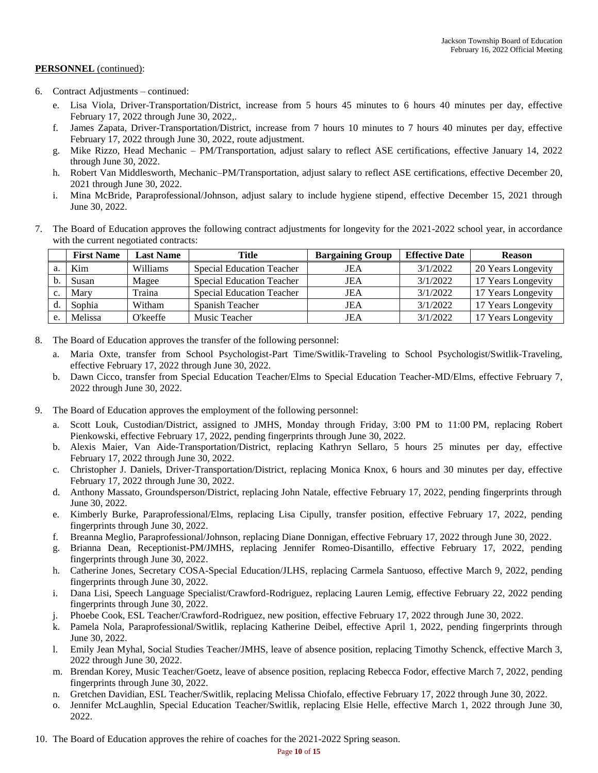- 6. Contract Adjustments continued:
	- e. Lisa Viola, Driver-Transportation/District, increase from 5 hours 45 minutes to 6 hours 40 minutes per day, effective February 17, 2022 through June 30, 2022,.
	- f. James Zapata, Driver-Transportation/District, increase from 7 hours 10 minutes to 7 hours 40 minutes per day, effective February 17, 2022 through June 30, 2022, route adjustment.
	- g. Mike Rizzo, Head Mechanic PM/Transportation, adjust salary to reflect ASE certifications, effective January 14, 2022 through June 30, 2022.
	- h. Robert Van Middlesworth, Mechanic–PM/Transportation, adjust salary to reflect ASE certifications, effective December 20, 2021 through June 30, 2022.
	- i. Mina McBride, Paraprofessional/Johnson, adjust salary to include hygiene stipend, effective December 15, 2021 through June 30, 2022.
- 7. The Board of Education approves the following contract adjustments for longevity for the 2021-2022 school year, in accordance with the current negotiated contracts:

|    | <b>First Name</b> | <b>Last Name</b> | Title                            | <b>Bargaining Group</b> | <b>Effective Date</b> | <b>Reason</b>      |
|----|-------------------|------------------|----------------------------------|-------------------------|-----------------------|--------------------|
|    | Kim               | Williams         | <b>Special Education Teacher</b> | JEA                     | 3/1/2022              | 20 Years Longevity |
|    | Susan             | Magee            | <b>Special Education Teacher</b> | JEA                     | 3/1/2022              | 17 Years Longevity |
|    | Mary              | Traina           | <b>Special Education Teacher</b> | JEA                     | 3/1/2022              | 17 Years Longevity |
|    | Sophia            | Witham           | Spanish Teacher                  | JEA                     | 3/1/2022              | 17 Years Longevity |
| e. | Melissa           | O'keeffe         | Music Teacher                    | JEA                     | 3/1/2022              | 17 Years Longevity |

- 8. The Board of Education approves the transfer of the following personnel:
	- a. Maria Oxte, transfer from School Psychologist-Part Time/Switlik-Traveling to School Psychologist/Switlik-Traveling, effective February 17, 2022 through June 30, 2022.
	- b. Dawn Cicco, transfer from Special Education Teacher/Elms to Special Education Teacher-MD/Elms, effective February 7, 2022 through June 30, 2022.
- 9. The Board of Education approves the employment of the following personnel:
	- a. Scott Louk, Custodian/District, assigned to JMHS, Monday through Friday, 3:00 PM to 11:00 PM, replacing Robert Pienkowski, effective February 17, 2022, pending fingerprints through June 30, 2022.
	- b. Alexis Maier, Van Aide-Transportation/District, replacing Kathryn Sellaro, 5 hours 25 minutes per day, effective February 17, 2022 through June 30, 2022.
	- c. Christopher J. Daniels, Driver-Transportation/District, replacing Monica Knox, 6 hours and 30 minutes per day, effective February 17, 2022 through June 30, 2022.
	- d. Anthony Massato, Groundsperson/District, replacing John Natale, effective February 17, 2022, pending fingerprints through June 30, 2022.
	- e. Kimberly Burke, Paraprofessional/Elms, replacing Lisa Cipully, transfer position, effective February 17, 2022, pending fingerprints through June 30, 2022.
	- f. Breanna Meglio, Paraprofessional/Johnson, replacing Diane Donnigan, effective February 17, 2022 through June 30, 2022.
	- g. Brianna Dean, Receptionist-PM/JMHS, replacing Jennifer Romeo-Disantillo, effective February 17, 2022, pending fingerprints through June 30, 2022.
	- h. Catherine Jones, Secretary COSA-Special Education/JLHS, replacing Carmela Santuoso, effective March 9, 2022, pending fingerprints through June 30, 2022.
	- i. Dana Lisi, Speech Language Specialist/Crawford-Rodriguez, replacing Lauren Lemig, effective February 22, 2022 pending fingerprints through June 30, 2022.
	- j. Phoebe Cook, ESL Teacher/Crawford-Rodriguez, new position, effective February 17, 2022 through June 30, 2022.
	- k. Pamela Nola, Paraprofessional/Switlik, replacing Katherine Deibel, effective April 1, 2022, pending fingerprints through June 30, 2022.
	- l. Emily Jean Myhal, Social Studies Teacher/JMHS, leave of absence position, replacing Timothy Schenck, effective March 3, 2022 through June 30, 2022.
	- m. Brendan Korey, Music Teacher/Goetz, leave of absence position, replacing Rebecca Fodor, effective March 7, 2022, pending fingerprints through June 30, 2022.
	- n. Gretchen Davidian, ESL Teacher/Switlik, replacing Melissa Chiofalo, effective February 17, 2022 through June 30, 2022.
	- o. Jennifer McLaughlin, Special Education Teacher/Switlik, replacing Elsie Helle, effective March 1, 2022 through June 30, 2022.
- 10. The Board of Education approves the rehire of coaches for the 2021-2022 Spring season.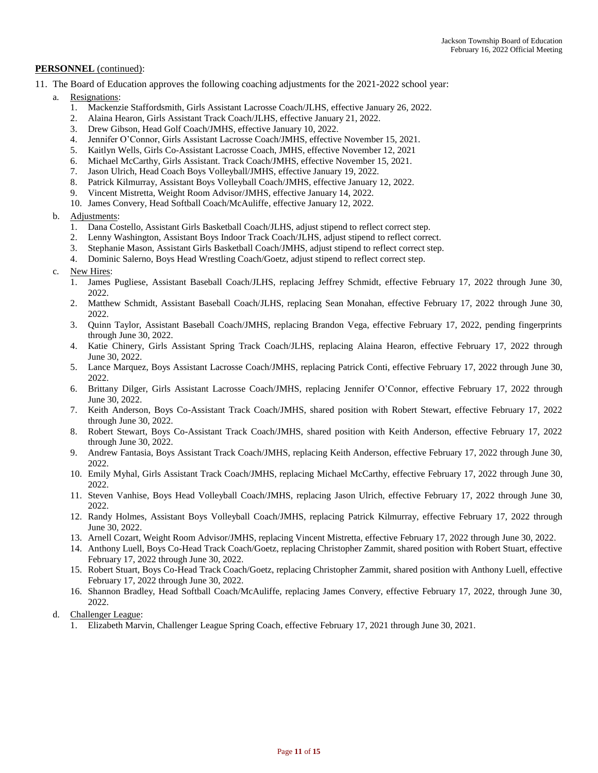- 11. The Board of Education approves the following coaching adjustments for the 2021-2022 school year:
	- Resignations:
		- 1. Mackenzie Staffordsmith, Girls Assistant Lacrosse Coach/JLHS, effective January 26, 2022.
		- 2. Alaina Hearon, Girls Assistant Track Coach/JLHS, effective January 21, 2022.
		- 3. Drew Gibson, Head Golf Coach/JMHS, effective January 10, 2022.
		- 4. Jennifer O'Connor, Girls Assistant Lacrosse Coach/JMHS, effective November 15, 2021.
		- 5. Kaitlyn Wells, Girls Co-Assistant Lacrosse Coach, JMHS, effective November 12, 2021
		- 6. Michael McCarthy, Girls Assistant. Track Coach/JMHS, effective November 15, 2021.
		- 7. Jason Ulrich, Head Coach Boys Volleyball/JMHS, effective January 19, 2022.
		- 8. Patrick Kilmurray, Assistant Boys Volleyball Coach/JMHS, effective January 12, 2022.
		- 9. Vincent Mistretta, Weight Room Advisor/JMHS, effective January 14, 2022.
		- 10. James Convery, Head Softball Coach/McAuliffe, effective January 12, 2022.
	- b. Adjustments:
		- 1. Dana Costello, Assistant Girls Basketball Coach/JLHS, adjust stipend to reflect correct step.
		- 2. Lenny Washington, Assistant Boys Indoor Track Coach/JLHS, adjust stipend to reflect correct.
		- 3. Stephanie Mason, Assistant Girls Basketball Coach/JMHS, adjust stipend to reflect correct step.
		- 4. Dominic Salerno, Boys Head Wrestling Coach/Goetz, adjust stipend to reflect correct step.
	- c. New Hires:
		- 1. James Pugliese, Assistant Baseball Coach/JLHS, replacing Jeffrey Schmidt, effective February 17, 2022 through June 30, 2022.
		- 2. Matthew Schmidt, Assistant Baseball Coach/JLHS, replacing Sean Monahan, effective February 17, 2022 through June 30, 2022.
		- 3. Quinn Taylor, Assistant Baseball Coach/JMHS, replacing Brandon Vega, effective February 17, 2022, pending fingerprints through June 30, 2022.
		- 4. Katie Chinery, Girls Assistant Spring Track Coach/JLHS, replacing Alaina Hearon, effective February 17, 2022 through June 30, 2022.
		- 5. Lance Marquez, Boys Assistant Lacrosse Coach/JMHS, replacing Patrick Conti, effective February 17, 2022 through June 30, 2022.
		- 6. Brittany Dilger, Girls Assistant Lacrosse Coach/JMHS, replacing Jennifer O'Connor, effective February 17, 2022 through June 30, 2022.
		- 7. Keith Anderson, Boys Co-Assistant Track Coach/JMHS, shared position with Robert Stewart, effective February 17, 2022 through June 30, 2022.
		- 8. Robert Stewart, Boys Co-Assistant Track Coach/JMHS, shared position with Keith Anderson, effective February 17, 2022 through June 30, 2022.
		- 9. Andrew Fantasia, Boys Assistant Track Coach/JMHS, replacing Keith Anderson, effective February 17, 2022 through June 30, 2022.
		- 10. Emily Myhal, Girls Assistant Track Coach/JMHS, replacing Michael McCarthy, effective February 17, 2022 through June 30, 2022.
		- 11. Steven Vanhise, Boys Head Volleyball Coach/JMHS, replacing Jason Ulrich, effective February 17, 2022 through June 30, 2022.
		- 12. Randy Holmes, Assistant Boys Volleyball Coach/JMHS, replacing Patrick Kilmurray, effective February 17, 2022 through June 30, 2022.
		- 13. Arnell Cozart, Weight Room Advisor/JMHS, replacing Vincent Mistretta, effective February 17, 2022 through June 30, 2022.
		- 14. Anthony Luell, Boys Co-Head Track Coach/Goetz, replacing Christopher Zammit, shared position with Robert Stuart, effective February 17, 2022 through June 30, 2022.
		- 15. Robert Stuart, Boys Co-Head Track Coach/Goetz, replacing Christopher Zammit, shared position with Anthony Luell, effective February 17, 2022 through June 30, 2022.
		- 16. Shannon Bradley, Head Softball Coach/McAuliffe, replacing James Convery, effective February 17, 2022, through June 30, 2022.
	- d. Challenger League:
		- 1. Elizabeth Marvin, Challenger League Spring Coach, effective February 17, 2021 through June 30, 2021.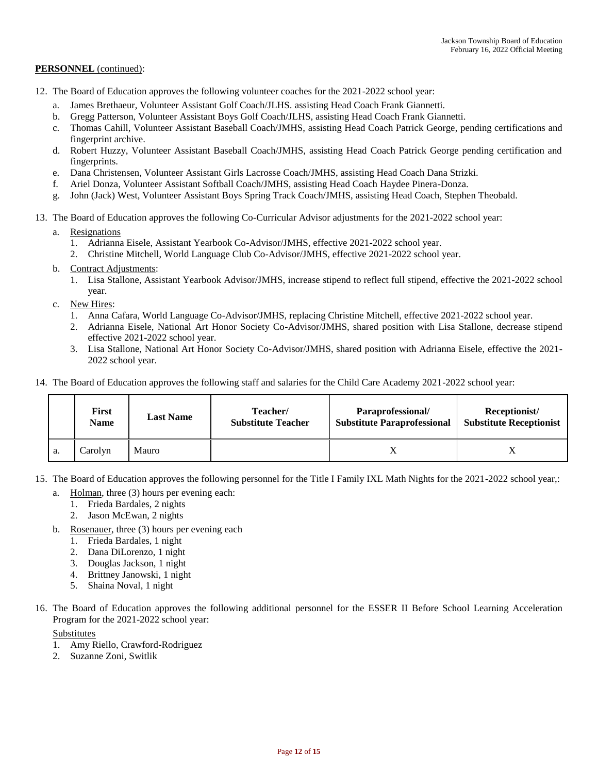- 12. The Board of Education approves the following volunteer coaches for the 2021-2022 school year:
	- a. James Brethaeur, Volunteer Assistant Golf Coach/JLHS. assisting Head Coach Frank Giannetti.
	- b. Gregg Patterson, Volunteer Assistant Boys Golf Coach/JLHS, assisting Head Coach Frank Giannetti.
	- c. Thomas Cahill, Volunteer Assistant Baseball Coach/JMHS, assisting Head Coach Patrick George, pending certifications and fingerprint archive.
	- d. Robert Huzzy, Volunteer Assistant Baseball Coach/JMHS, assisting Head Coach Patrick George pending certification and fingerprints.
	- e. Dana Christensen, Volunteer Assistant Girls Lacrosse Coach/JMHS, assisting Head Coach Dana Strizki.
	- f. Ariel Donza, Volunteer Assistant Softball Coach/JMHS, assisting Head Coach Haydee Pinera-Donza.
	- g. John (Jack) West, Volunteer Assistant Boys Spring Track Coach/JMHS, assisting Head Coach, Stephen Theobald.
- 13. The Board of Education approves the following Co-Curricular Advisor adjustments for the 2021-2022 school year:
	- a. Resignations
		- 1. Adrianna Eisele, Assistant Yearbook Co-Advisor/JMHS, effective 2021-2022 school year.
		- 2. Christine Mitchell, World Language Club Co-Advisor/JMHS, effective 2021-2022 school year.
	- b. Contract Adjustments:
		- 1. Lisa Stallone, Assistant Yearbook Advisor/JMHS, increase stipend to reflect full stipend, effective the 2021-2022 school year.
	- c. New Hires:
		- 1. Anna Cafara, World Language Co-Advisor/JMHS, replacing Christine Mitchell, effective 2021-2022 school year.
		- 2. Adrianna Eisele, National Art Honor Society Co-Advisor/JMHS, shared position with Lisa Stallone, decrease stipend effective 2021-2022 school year.
		- 3. Lisa Stallone, National Art Honor Society Co-Advisor/JMHS, shared position with Adrianna Eisele, effective the 2021- 2022 school year.
- 14. The Board of Education approves the following staff and salaries for the Child Care Academy 2021-2022 school year:

|    | <b>First</b><br><b>Name</b> | <b>Last Name</b> | Teacher/<br><b>Substitute Teacher</b> | Paraprofessional/<br><b>Substitute Paraprofessional</b> | Receptionist/<br><b>Substitute Receptionist</b> |
|----|-----------------------------|------------------|---------------------------------------|---------------------------------------------------------|-------------------------------------------------|
| a. | Carolyn                     | Mauro            |                                       |                                                         |                                                 |

- 15. The Board of Education approves the following personnel for the Title I Family IXL Math Nights for the 2021-2022 school year,:
	- a. Holman, three (3) hours per evening each:
		- 1. Frieda Bardales, 2 nights
		- 2. Jason McEwan, 2 nights
	- b. Rosenauer, three (3) hours per evening each
		- 1. Frieda Bardales, 1 night
		- 2. Dana DiLorenzo, 1 night
		- 3. Douglas Jackson, 1 night
		- 4. Brittney Janowski, 1 night
		- 5. Shaina Noval, 1 night
- 16. The Board of Education approves the following additional personnel for the ESSER II Before School Learning Acceleration Program for the 2021-2022 school year:

Substitutes

- 1. Amy Riello, Crawford-Rodriguez
- 2. Suzanne Zoni, Switlik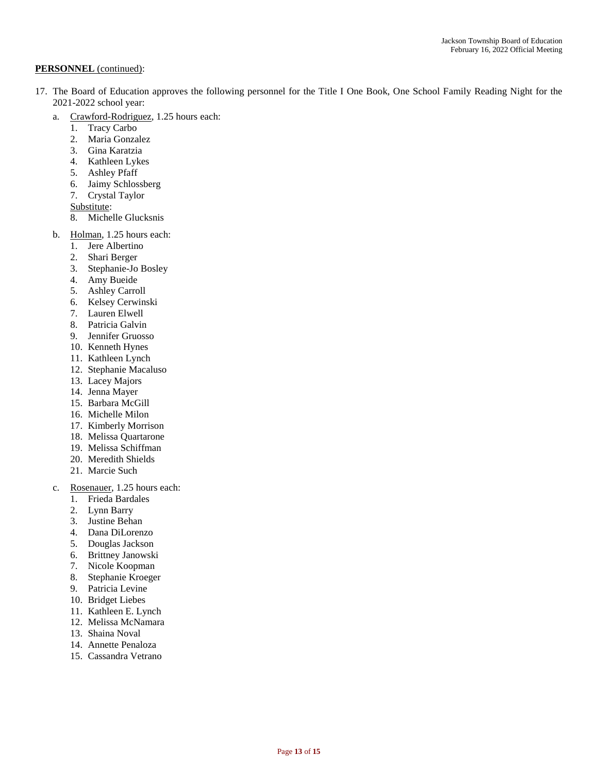- 17. The Board of Education approves the following personnel for the Title I One Book, One School Family Reading Night for the 2021-2022 school year:
	- a. Crawford-Rodriguez, 1.25 hours each:
		- 1. Tracy Carbo
		- 2. Maria Gonzalez
		- 3. Gina Karatzia
		- 4. Kathleen Lykes
		- 5. Ashley Pfaff
		- 6. Jaimy Schlossberg
		- 7. Crystal Taylor
		- Substitute:
		- 8. Michelle Glucksnis
	- b. Holman, 1.25 hours each:
		- 1. Jere Albertino
		- 2. Shari Berger
		- 3. Stephanie-Jo Bosley
		- 4. Amy Bueide
		- 5. Ashley Carroll
		- 6. Kelsey Cerwinski
		- 7. Lauren Elwell
		- 8. Patricia Galvin
		- 9. Jennifer Gruosso
		- 10. Kenneth Hynes
		- 11. Kathleen Lynch
		- 12. Stephanie Macaluso
		- 13. Lacey Majors
		- 14. Jenna Mayer
		- 15. Barbara McGill
		- 16. Michelle Milon
		- 17. Kimberly Morrison
		- 18. Melissa Quartarone
		- 19. Melissa Schiffman
		- 20. Meredith Shields
		- 21. Marcie Such
	- c. Rosenauer, 1.25 hours each:
		- 1. Frieda Bardales
		- 2. Lynn Barry
		- 3. Justine Behan
		- 4. Dana DiLorenzo
		- 5. Douglas Jackson
		- 6. Brittney Janowski
		- 7. Nicole Koopman
		- 8. Stephanie Kroeger
		- 9. Patricia Levine
		- 10. Bridget Liebes
		- 11. Kathleen E. Lynch
		- 12. Melissa McNamara
		- 13. Shaina Noval
		- 14. Annette Penaloza
		- 15. Cassandra Vetrano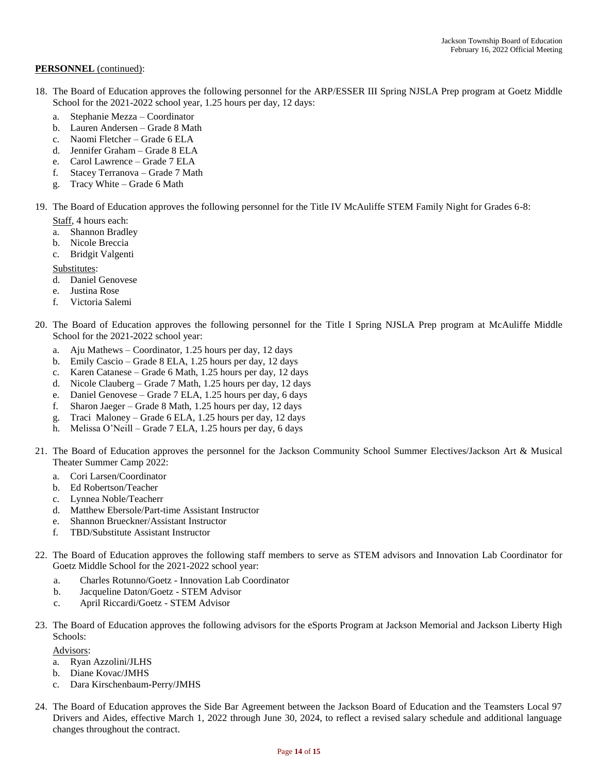- 18. The Board of Education approves the following personnel for the ARP/ESSER III Spring NJSLA Prep program at Goetz Middle School for the 2021-2022 school year, 1.25 hours per day, 12 days:
	- a. Stephanie Mezza Coordinator
	- b. Lauren Andersen Grade 8 Math
	- c. Naomi Fletcher Grade 6 ELA
	- d. Jennifer Graham Grade 8 ELA
	- e. Carol Lawrence Grade 7 ELA
	- f. Stacey Terranova Grade 7 Math
	- g. Tracy White Grade 6 Math
- 19. The Board of Education approves the following personnel for the Title IV McAuliffe STEM Family Night for Grades 6-8:
	- Staff, 4 hours each:
	- a. Shannon Bradley
	- b. Nicole Breccia
	- c. Bridgit Valgenti

### Substitutes:

- d. Daniel Genovese
- e. Justina Rose
- f. Victoria Salemi
- 20. The Board of Education approves the following personnel for the Title I Spring NJSLA Prep program at McAuliffe Middle School for the 2021-2022 school year:
	- a. Aju Mathews Coordinator, 1.25 hours per day, 12 days
	- b. Emily Cascio Grade 8 ELA, 1.25 hours per day, 12 days
	- c. Karen Catanese Grade 6 Math, 1.25 hours per day, 12 days
	- d. Nicole Clauberg Grade 7 Math, 1.25 hours per day, 12 days
	- e. Daniel Genovese Grade 7 ELA, 1.25 hours per day, 6 days
	- f. Sharon Jaeger Grade 8 Math, 1.25 hours per day, 12 days
	- g. Traci Maloney Grade 6 ELA, 1.25 hours per day, 12 days
	- h. Melissa O'Neill Grade 7 ELA, 1.25 hours per day, 6 days
- 21. The Board of Education approves the personnel for the Jackson Community School Summer Electives/Jackson Art & Musical Theater Summer Camp 2022:
	- a. Cori Larsen/Coordinator
	- b. Ed Robertson/Teacher
	- c. Lynnea Noble/Teacherr
	- d. Matthew Ebersole/Part-time Assistant Instructor
	- e. Shannon Brueckner/Assistant Instructor
	- f. TBD/Substitute Assistant Instructor
- 22. The Board of Education approves the following staff members to serve as STEM advisors and Innovation Lab Coordinator for Goetz Middle School for the 2021-2022 school year:
	- a. Charles Rotunno/Goetz Innovation Lab Coordinator
	- b. Jacqueline Daton/Goetz STEM Advisor
	- c. April Riccardi/Goetz STEM Advisor
- 23. The Board of Education approves the following advisors for the eSports Program at Jackson Memorial and Jackson Liberty High Schools:

Advisors:

- a. Ryan Azzolini/JLHS
- b. Diane Kovac/JMHS
- c. Dara Kirschenbaum-Perry/JMHS
- 24. The Board of Education approves the Side Bar Agreement between the Jackson Board of Education and the Teamsters Local 97 Drivers and Aides, effective March 1, 2022 through June 30, 2024, to reflect a revised salary schedule and additional language changes throughout the contract.